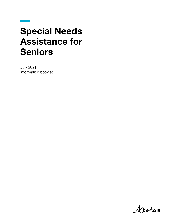# Special Needs Assistance for Seniors

July 2021 Information booklet

Albertan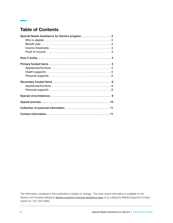# Table of Contents

| Special Needs Assistance for Seniors program 3 |
|------------------------------------------------|
|                                                |
|                                                |
|                                                |
|                                                |
|                                                |
|                                                |
|                                                |
|                                                |
|                                                |
|                                                |
|                                                |
|                                                |
|                                                |
|                                                |
| Collection of personal information  11         |
|                                                |

The information contained in this publication is subject to change. The most recent information is available on the Seniors and Housing website at [alberta.ca/seniors-financial-assistance.aspx](https://www.alberta.ca/seniors-financial-assistance.aspx) or by calling the Alberta Supports Contact Centre at 1-877-644-9992.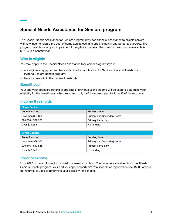# Special Needs Assistance for Seniors program

The Special Needs Assistance for Seniors program provides financial assistance to eligible seniors with low income toward the cost of some appliances, and specific health and personal supports. The program provides a lump-sum payment for eligible expenses. The maximum assistance available is \$5,105 in a benefit year.

#### Who is eligible

You may apply to the Special Needs Assistance for Seniors program if you:

- are eligible to apply for and have submitted an application for Seniors Financial Assistance (Alberta Seniors Benefit program)
- have income within the income thresholds

#### Benefit year

Your and your spouse/partner's (if applicable) previous year's income will be used to determine your eligibility for the benefit year, which runs from July 1 of the current year to June 30 of the next year.

#### Income thresholds

| Single Seniors      |                             |  |
|---------------------|-----------------------------|--|
| Annual Income       | <b>Funding Level</b>        |  |
| Less than $$24,885$ | Primary and Secondary items |  |
| \$24,886 - \$29,285 | Primary items only          |  |
| Over \$29,285       | No funding                  |  |

| Senior Couples      |                             |  |
|---------------------|-----------------------------|--|
| Annual Income       | <b>Funding Level</b>        |  |
| Less than \$39,345  | Primary and Secondary items |  |
| \$39.346 - \$47.545 | Primary items only          |  |
| Over \$47,545       | No funding                  |  |

#### Proof of income

Your 2020 income information is used to assess your claim. Your income is obtained from the Alberta Seniors Benefit program. Your and your spouse/partner's total income as reported on line 15000 of your tax return(s) is used to determine your eligibility for benefits.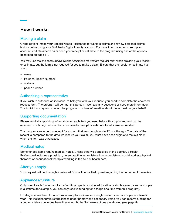# How it works

## Making a claim

Online option: make your Special Needs Assistance for Seniors claims and review personal claims history online using your MyAlberta Digital Identity account. For more information or to set up an account, visit sfa.alberta.ca or send your receipt or estimate to the program using one of the options described on page 11.

You may use the enclosed *Special Needs Assistance for Seniors request form* when providing your receipt or estimate, but the form is not required for you to make a claim. Ensure that the receipt or estimate has your:

- name
- Personal Health Number
- address
- phone number

## Authorizing a representative

If you wish to authorize an individual to help you with your request, you need to complete the enclosed request form. The program will contact this person if we have any questions or need more information. This individual may also contact the program to obtain information about the request on your behalf.

## Supporting documentation

Please send all supporting information for each item you need help with, so your request can be assessed in a timely manner. You must send a receipt or estimate for all items requested.

The program can accept a receipt for an item that was bought up to 12 months ago. The date of the receipt is compared to the date we receive your claim. You must have been eligible to make a claim when the item was purchased.

## Medical notes

Some funded items require medical notes. Unless otherwise specified in the booklet, a Health Professional includes a physician, nurse practitioner, registered nurse, registered social worker, physical therapist or occupational therapist working in the field of health care.

## After you apply

Your request will be thoroughly reviewed. You will be notified by mail regarding the outcome of the review.

## Appliances/furniture

Only one of each funded appliance/furniture type is considered for either a single senior or senior couple in a lifetime (for example, you can only receive funding for a fridge one time from this program).

Funding is considered for one furniture/appliance item for a single senior or senior couple in a benefit year. This includes furniture/appliances under primary and secondary items (you can receive funding for a bed or a television in one benefit year, not both). Some exceptions are allowed (see page 5).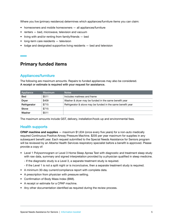Where you live (primary residence) determines which appliances/furniture items you can claim:

- homeowners and mobile homeowners all appliances/furniture
- renters bed, microwave, television and vacuum
- living with and/or renting from family/friends bed
- long-term care residents television
- lodge and designated supportive living residents bed and television

## Primary funded items

#### Appliances/furniture

The following are maximum amounts. Repairs to funded appliances may also be considered. A receipt or estimate is required with your request for assistance.

| <b>Appliance</b> | Maximum | <b>Notes</b>                                                |
|------------------|---------|-------------------------------------------------------------|
| <b>Bed</b>       | \$511   | Includes mattress and frame                                 |
| <b>Dryer</b>     | \$409   | Washer & dryer may be funded in the same benefit year       |
| Refrigerator     | \$715   | Refrigerator & stove may be funded in the same benefit year |
| Stove            | \$715   |                                                             |
| Washer           | \$511   |                                                             |

The maximum amounts include GST, delivery, installation/hook-up and environmental fees.

#### Health supports

CPAP machine and supplies — maximum \$1,634 (once every five years) for a non-auto medically required Continuous Positive Airway Pressure Machine. \$205 per year maximum for supplies in any subsequent benefit year. Each request submitted to the Special Needs Assistance for Seniors program will be reviewed by an Alberta Health Services respiratory specialist before a benefit is approved. Please provide a copy of:

- Level 1 Polysomnogram or Level 3 Home Sleep Apnea Test with diagnostic and treatment sleep study with raw data, summary and signed interpretation provided by a physician qualified in sleep medicine.
	- If the diagnostic study is a Level 3, a separate treatment study is required.
	- If the Level 1 is not a split night or is inconclusive, then a separate treatment study is required.
- A minimum 30-day current/compliance report with complete data.
- A prescription from physician with pressure setting.
- Confirmation of Body Mass Index (BMI).
- A receipt or estimate for a CPAP machine.
- Any other documentation identified as required during the review process.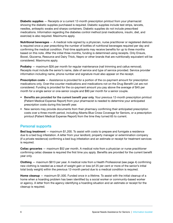Diabetic supplies — Receipts or a current 12-month prescription printout from your pharmacist showing the diabetic supplies purchased is required. Diabetic supplies include test strips, lancets, needles, antiseptic swabs and sharps containers. Diabetic supplies do not include prescribed medications. Information regarding the diabetes control method (oral medications, insulin, diet, and exercise) is also required. Maximums apply.

**Nutritional beverages**  $-$  A medical note signed by a physician, nurse practitioner or registered dietician is required once a year prescribing the number of bottles of nutritional beverages required per day and confirming the medical condition. First-time applicants may receive benefits for up to three months based on this note. After the initial three months, funding is determined using receipts. Only Ensure, Boost, Glucerna, Resource and Dairy Thick, Nepro or other brands that are nutritionally equivalent will be considered. Maximums apply.

**Podiatry** — maximum \$26 per month for regular maintenance (nail trimming and callus removal). Receipts must include the senior's name, date of service and type of service provided. Service provider information including name, phone number and signature must also appear on the receipt.

**Prescription costs** — Assistance is provided for a portion of the co-payment amount for prescription medications only. Over-the-counter medications and medications not on the Drug Benefit List are not considered. Funding is provided for the co-payment amount you pay above the average of \$45 per month for a single senior or one-senior couple and \$90 per month for a senior couple.

- Benefits are provided for the current benefit year only. Your previous 12-month prescription printout (Patient Medical Expense Report) from your pharmacist is needed to determine your anticipated prescription costs during this benefit year.
- New seniors may provide documents from their pharmacy confirming their anticipated prescription costs over a three-month period, including Alberta Blue Cross Coverage for Seniors, or a prescription printout (Patient Medical Expense Report) from the time they turned 65 to current.

## Personal supports

Bed bug treatment — maximum \$1,200. To assist with costs to prepare and fumigate a residence due to a bed bug infestation. A letter from your landlord, property manager or extermination company (if a private residence) confirming a bed bug infestation and an estimate or receipt for treatment services is required.

Celiac groceries — maximum \$52 per month. A medical note from a physician or nurse practitioner confirming celiac disease is required the first time you apply. Benefits are provided for the current benefit year only.

Clothing — maximum \$613 per year. A medical note from a Health Professional (see page 4) confirming new clothing is needed as a result of weight gain or loss (of 25 per cent or more of the senior's initial total body weight) within the previous 12-month period due to a medical condition is required.

Home cleanup — maximum \$1,500. Funded once in a lifetime. To assist with the initial cleanup of a home when a hoarding problem has been identified by a social worker or community-based worker or agency. A letter from the agency identifying a hoarding situation and an estimate or receipt for the cleanup is required.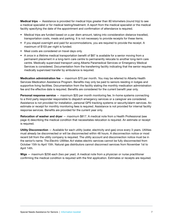Medical trips — Assistance is provided for medical trips greater than 80 kilometers (round trip) to see a medical specialist or for medical testing/treatment. A report from the medical specialist or the medical facility specifying the date of the appointment and confirmation of attendance is required.

- Medical trips are funded based on a per diem amount, taking into consideration distance travelled, transportation costs, meals and parking. It is not necessary to provide receipts for these items.
- If you stayed overnight and paid for accommodations, you are required to provide the receipt. A maximum of \$103 per night is funded.
- Meal costs are considered on travel days only.
- A once in a lifetime medical transportation benefit of \$87 is available for a senior moving from a permanent placement in a long-term care centre to permanently relocate to another long-term care centre. Medically supervised transport using Alberta Paramedical Services or Emergency Medical Services is considered. Documentation from the transferring facility indicating that the senior requires medically supervised transfer by ambulance is required.

Medication administration fee — maximum \$70 per month. You may be referred to Alberta Health Services Medication Assistance Program. Benefits may only be paid to seniors residing in lodges and supportive living facilities. Documentation from the facility stating the monthly medication administration fee and the effective date is required. Benefits are considered for the current benefit year only.

**Personal response service** — maximum \$20 per month monitoring fee. In-home systems connecting to a third party responder responsible to dispatch emergency services or a caregiver are considered. Assistance is not provided for installation, personal GPS tracking systems or security/alarm services. An estimate or receipt for monthly monitoring fees is required. Assistance is not provided for internal facility response services. Benefits are provided for the current year only.

Relocation of washer and dryer — maximum \$817. A medical note from a Health Professional (see page 4) describing the medical condition that necessitates relocation is required. An estimate or receipt is required.

Utility Disconnection - Available for each utility (water, electricity and gas) once every 3 years. Utilities must already be disconnected or will be disconnected within 48 hours. A disconnection notice or most recent bill from the utility company is required. The utility account and disconnection notice must be in the senior's name. The *Electric Utilities Act* states electric services cannot be fully disconnected from October 15th to April 15th. Natural gas distributors cannot disconnect services from November 1st to April 14th.

Wigs — maximum \$256 each (two per year). A medical note from a physician or nurse practitioner confirming the medical condition is required with the first application. Estimates or receipts are required.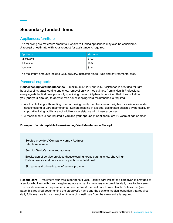# Secondary funded items

## Appliances/furniture

The following are maximum amounts. Repairs to funded appliances may also be considered. A receipt or estimate with your request for assistance is required.

| Appliance  | <b>Maximum</b> |
|------------|----------------|
| Microwave  | \$103          |
| Television | \$307          |
| Vacuum     | \$154          |

The maximum amounts include GST, delivery, installation/hook-ups and environmental fees.

## Personal supports

Housekeeping/yard maintenance — maximum \$1,226 annually. Assistance is provided for light housekeeping, grass cutting and snow removal only. A medical note from a Health Professional (see page 4) the first time you apply specifying the mobility/health condition that does not allow you (and your spouse) to do your own housekeeping/yard maintenance is required.

- Applicants living with, renting from, or paying family members are not eligible for assistance under housekeeping or yard maintenance. Seniors residing in a lodge, designated assisted living facility or supportive living facility are not eligible for assistance with these expenses.
- A medical note is not required if you and your spouse (if applicable) are 80 years of age or older.

#### Example of an Acceptable Housekeeping/Yard Maintenance Receipt

Service provider / Company Name / Address Telephone number

Sold to: Senior's name and address

Breakdown of service provided (housekeeping, grass cutting, snow shoveling) Date of service and hours — cost per hour — total cost

Signature and printed name of service provider

Respite care – maximum four weeks per benefit year. Respite care (relief for a caregiver) is provided to a senior who lives with their caregiver (spouse or family member) who provides daily care to the senior. The respite care must be provided in a care centre. A medical note from a Health Professional (see page 4) is required documenting the caregiver's name and the senior's medical condition that requires daily full-time care from a caregiver. A receipt or estimate from the care centre is required.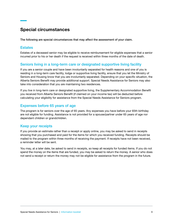# Special circumstances

The following are special circumstances that may affect the assessment of your claim.

#### **Estates**

Estates of a deceased senior may be eligible to receive reimbursement for eligible expenses that a senior incurred prior to his or her death if the request is received within three months of the date of death.

## Seniors living in a long-term care or designated supportive living facility

If you are a senior couple and have been involuntarily separated for health reasons and one of you is residing in a long-term care facility, lodge or supportive living facility, ensure that you let the Ministry of Seniors and Housing know that you are involuntarily separated. Depending on your specific situation, the Alberta Seniors Benefit may provide additional support. Special Needs Assistance for Seniors may also take into consideration that you are maintaining two residences.

If you live in long-term care or designated supportive living, the Supplementary Accommodation Benefit you received from Alberta Seniors Benefit (if claimed on your income tax) will be deducted before calculating your eligibility for assistance from the Special Needs Assistance for Seniors program.

## Expenses before 65 years of age

The program is for seniors over the age of 65 years. Any expenses you have before your 65th birthday are not eligible for funding. Assistance is not provided for a spouse/partner under 65 years of age nor dependant children or grandchildren.

## Keep your receipts

If you provide an estimate rather than a receipt or apply online, you may be asked to send in receipts showing that you purchased and paid for the items for which you received funding. Receipts should be mailed to the program within three months of receiving the payment. If receipts have not been received, a reminder letter will be sent.

You may, at a later date, be asked to send in receipts, so keep all receipts for funded items. If you do not spend the money on the items that are funded, you may be asked to return the money. A senior who does not send a receipt or return the money may not be eligible for assistance from the program in the future.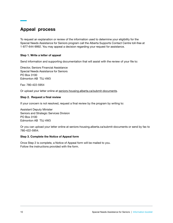# Appeal process

To request an explanation or review of the information used to determine your eligibility for the Special Needs Assistance for Seniors program call the Alberta Supports Contact Centre toll-free at 1-877-644-9992. You may appeal a decision regarding your request for assistance.

#### Step 1. Write a letter of appeal

Send information and supporting documentation that will assist with the review of your file to:

Director, Seniors Financial Assistance Special Needs Assistance for Seniors PO Box 3100 Edmonton AB T5J 4W3

Fax: 780-422-5954

Or upload your letter online at [seniors-housing.alberta.ca/submit-documents](https://www.seniors-housing.alberta.ca/submit-documents/).

#### Step 2. Request a final review

If your concern is not resolved, request a final review by the program by writing to:

Assistant Deputy Minister Seniors and Strategic Services Division PO Box 3100 Edmonton AB T5J 4W3

Or you can upload your letter online at seniors-housing.alberta.ca/submit-documents or send by fax to 780-422-5954.

#### Step 3. Complete the Notice of Appeal form

Once Step 2 is complete, a Notice of Appeal form will be mailed to you. Follow the instructions provided with the form.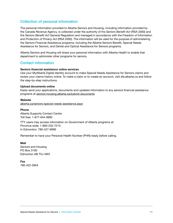## Collection of personal information

The personal information provided to Alberta Seniors and Housing, including information provided by the Canada Revenue Agency, is collected under the authority of the *Seniors Benefit Act* (RSA 2000) and the *Seniors Benefit Act* General Regulation and managed in accordance with the *Freedom of Information and Protection of Privacy Act* (RSA 2000). The information will be used for the purpose of administering the Seniors Financial Assistance programs, including the Alberta Seniors Benefit, Special Needs Assistance for Seniors, and Dental and Optical Assistance for Seniors programs.

Alberta Seniors and Housing will share your personal information with Alberta Health to enable that department to administer other programs for seniors.

#### Contact information

#### Seniors financial assistance online services

Use your MyAlberta Digital Identity account to make Special Needs Assistance for Seniors claims and review your claims history online. To make a claim or to create an account, visit sfa.alberta.ca and follow the step-by-step instructions.

#### Upload documents online

Easily send your applications, documents and updated information to any seniors financial assistance programs at [seniors-housing.alberta.ca/submit-documents](https://www.seniors-housing.alberta.ca/submit-documents/)

#### **Website**

[alberta.ca/seniors-special-needs-assistance.aspx](https://www.alberta.ca/seniors-special-needs-assistance.aspx)

#### Phone

Alberta Supports Contact Centre Toll-free: 1-877-644-9992

TTY users may access information on Government of Alberta programs at: Province-wide: 1-800-232-7215 In Edmonton: 780-427-9999

Remember to have your Personal Health Number (PHN) ready before calling.

#### Mail

Seniors and Housing PO Box 3100 Edmonton AB T5J 4W3

Fax 780-422-5954